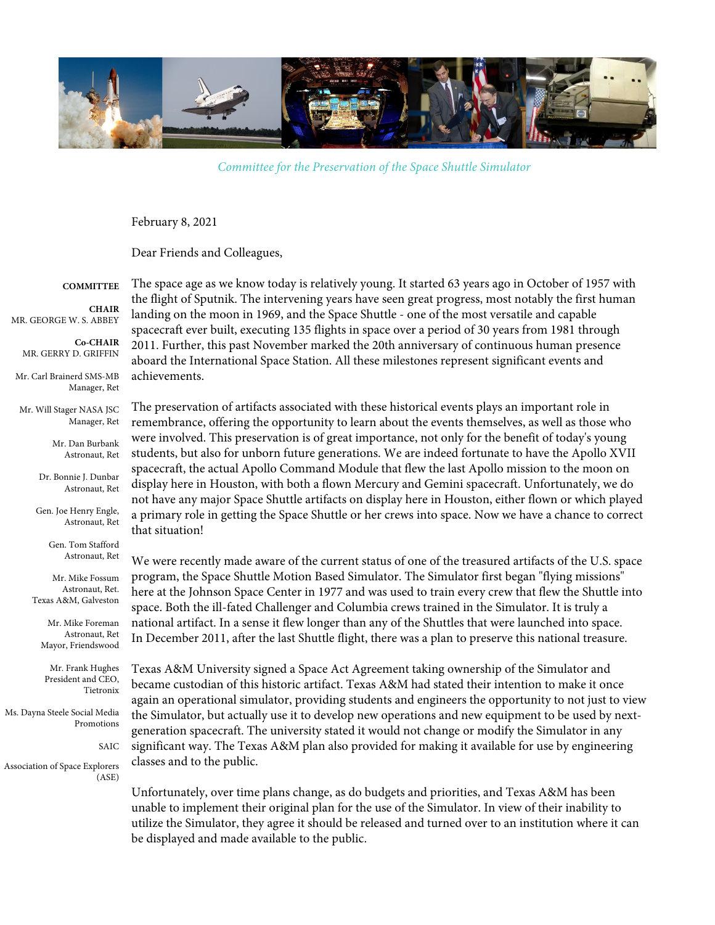

*Committee for the Preservation of the Space Shuttle Simulator*

February 8, 2021

Dear Friends and Colleagues,

**COMMITTEE**

**CHAIR** MR. GEORGE W. S. ABBEY

**Co-CHAIR** MR. GERRY D. GRIFFIN

Mr. Carl Brainerd SMS-MB Manager, Ret

Mr. Will Stager NASA JSC Manager, Ret

> Mr. Dan Burbank Astronaut, Ret

Dr. Bonnie J. Dunbar Astronaut, Ret

Gen. Joe Henry Engle, Astronaut, Ret

> Gen. Tom Stafford Astronaut, Ret

Mr. Mike Fossum Astronaut, Ret. Texas A&M, Galveston

Mr. Mike Foreman Astronaut, Ret Mayor, Friendswood

Mr. Frank Hughes President and CEO, Tietronix

Ms. Dayna Steele Social Media Promotions

SAIC

Association of Space Explorers (ASE)

The space age as we know today is relatively young. It started 63 years ago in October of 1957 with the flight of Sputnik. The intervening years have seen great progress, most notably the first human landing on the moon in 1969, and the Space Shuttle - one of the most versatile and capable spacecraft ever built, executing 135 flights in space over a period of 30 years from 1981 through 2011. Further, this past November marked the 20th anniversary of continuous human presence aboard the International Space Station. All these milestones represent significant events and achievements.

The preservation of artifacts associated with these historical events plays an important role in remembrance, offering the opportunity to learn about the events themselves, as well as those who were involved. This preservation is of great importance, not only for the benefit of today's young students, but also for unborn future generations. We are indeed fortunate to have the Apollo XVII spacecraft, the actual Apollo Command Module that flew the last Apollo mission to the moon on display here in Houston, with both a flown Mercury and Gemini spacecraft. Unfortunately, we do not have any major Space Shuttle artifacts on display here in Houston, either flown or which played a primary role in getting the Space Shuttle or her crews into space. Now we have a chance to correct that situation!

We were recently made aware of the current status of one of the treasured artifacts of the U.S. space program, the Space Shuttle Motion Based Simulator. The Simulator first began "flying missions" here at the Johnson Space Center in 1977 and was used to train every crew that flew the Shuttle into space. Both the ill-fated Challenger and Columbia crews trained in the Simulator. It is truly a national artifact. In a sense it flew longer than any of the Shuttles that were launched into space. In December 2011, after the last Shuttle flight, there was a plan to preserve this national treasure.

Texas A&M University signed a Space Act Agreement taking ownership of the Simulator and became custodian of this historic artifact. Texas A&M had stated their intention to make it once again an operational simulator, providing students and engineers the opportunity to not just to view the Simulator, but actually use it to develop new operations and new equipment to be used by nextgeneration spacecraft. The university stated it would not change or modify the Simulator in any significant way. The Texas A&M plan also provided for making it available for use by engineering classes and to the public.

Unfortunately, over time plans change, as do budgets and priorities, and Texas A&M has been unable to implement their original plan for the use of the Simulator. In view of their inability to utilize the Simulator, they agree it should be released and turned over to an institution where it can be displayed and made available to the public.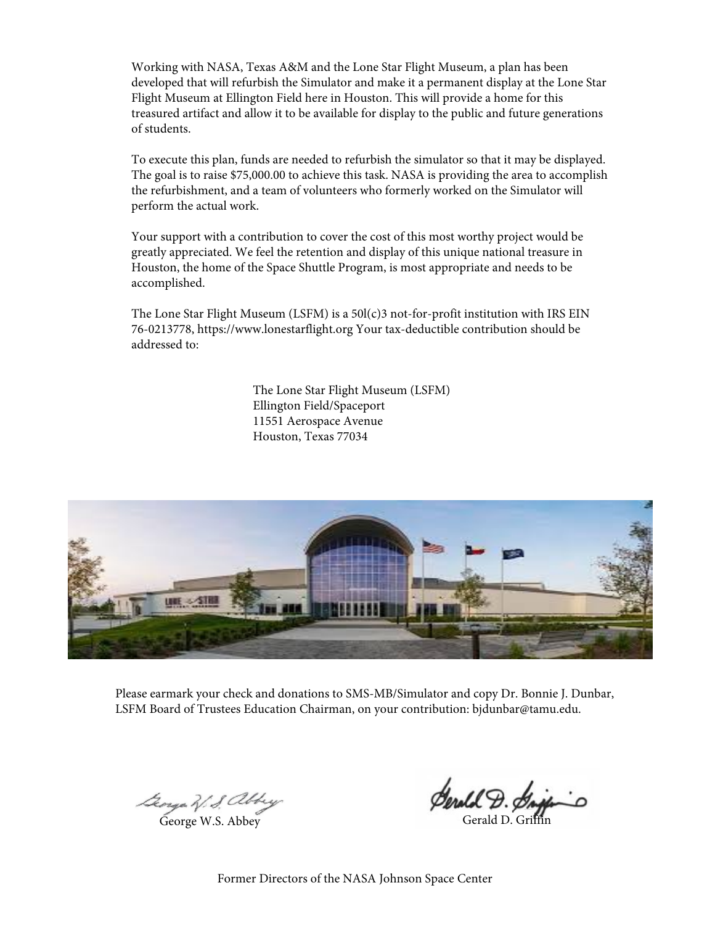Working with NASA, Texas A&M and the Lone Star Flight Museum, a plan has been developed that will refurbish the Simulator and make it a permanent display at the Lone Star Flight Museum at Ellington Field here in Houston. This will provide a home for this treasured artifact and allow it to be available for display to the public and future generations of students.

To execute this plan, funds are needed to refurbish the simulator so that it may be displayed. The goal is to raise \$75,000.00 to achieve this task. NASA is providing the area to accomplish the refurbishment, and a team of volunteers who formerly worked on the Simulator will perform the actual work.

Your support with a contribution to cover the cost of this most worthy project would be greatly appreciated. We feel the retention and display of this unique national treasure in Houston, the home of the Space Shuttle Program, is most appropriate and needs to be accomplished.

The Lone Star Flight Museum (LSFM) is a 50l(c)3 not-for-profit institution with IRS EIN 76-0213778, https://www.lonestarflight.org Your tax-deductible contribution should be addressed to:

> The Lone Star Flight Museum (LSFM) Ellington Field/Spaceport 11551 Aerospace Avenue Houston, Texas 77034



Please earmark your check and donations to SMS-MB/Simulator and copy Dr. Bonnie J. Dunbar, LSFM Board of Trustees Education Chairman, on your contribution: bjdunbar@tamu.edu.

George W. S. abbey

**Serald D. Griff**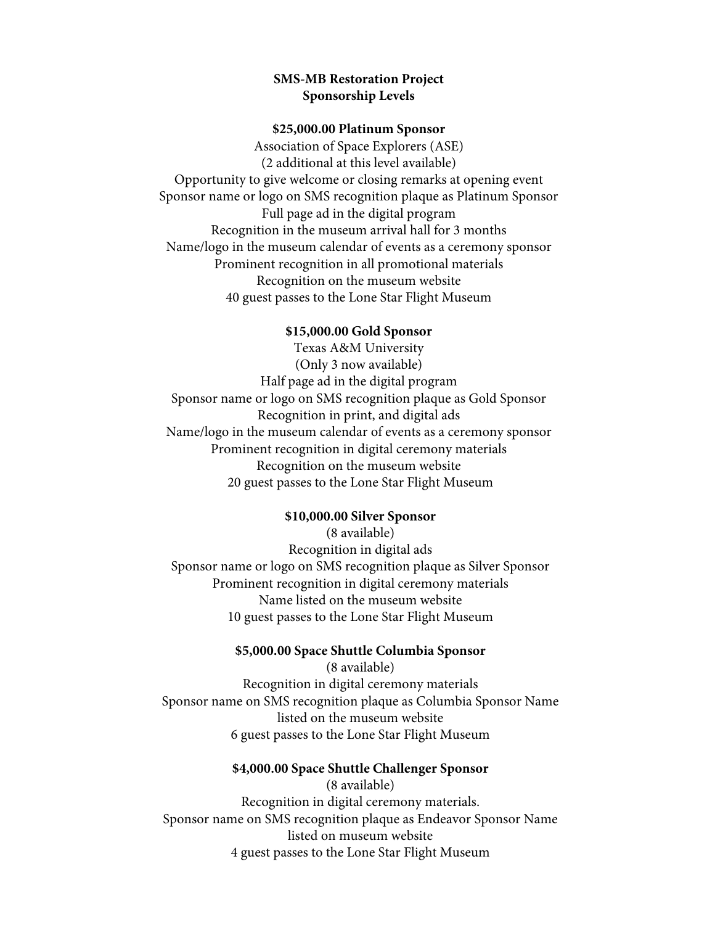# **SMS-MB Restoration Project Sponsorship Levels**

### **\$25,000.00 Platinum Sponsor**

Association of Space Explorers (ASE) (2 additional at this level available) Opportunity to give welcome or closing remarks at opening event Sponsor name or logo on SMS recognition plaque as Platinum Sponsor Full page ad in the digital program Recognition in the museum arrival hall for 3 months Name/logo in the museum calendar of events as a ceremony sponsor Prominent recognition in all promotional materials Recognition on the museum website 40 guest passes to the Lone Star Flight Museum

### **\$15,000.00 Gold Sponsor**

Texas A&M University (Only 3 now available) Half page ad in the digital program Sponsor name or logo on SMS recognition plaque as Gold Sponsor Recognition in print, and digital ads Name/logo in the museum calendar of events as a ceremony sponsor Prominent recognition in digital ceremony materials Recognition on the museum website 20 guest passes to the Lone Star Flight Museum

### **\$10,000.00 Silver Sponsor**

(8 available) Recognition in digital ads Sponsor name or logo on SMS recognition plaque as Silver Sponsor Prominent recognition in digital ceremony materials Name listed on the museum website 10 guest passes to the Lone Star Flight Museum

### **\$5,000.00 Space Shuttle Columbia Sponsor**

(8 available) Recognition in digital ceremony materials Sponsor name on SMS recognition plaque as Columbia Sponsor Name listed on the museum website 6 guest passes to the Lone Star Flight Museum

### **\$4,000.00 Space Shuttle Challenger Sponsor**

(8 available) Recognition in digital ceremony materials. Sponsor name on SMS recognition plaque as Endeavor Sponsor Name listed on museum website 4 guest passes to the Lone Star Flight Museum